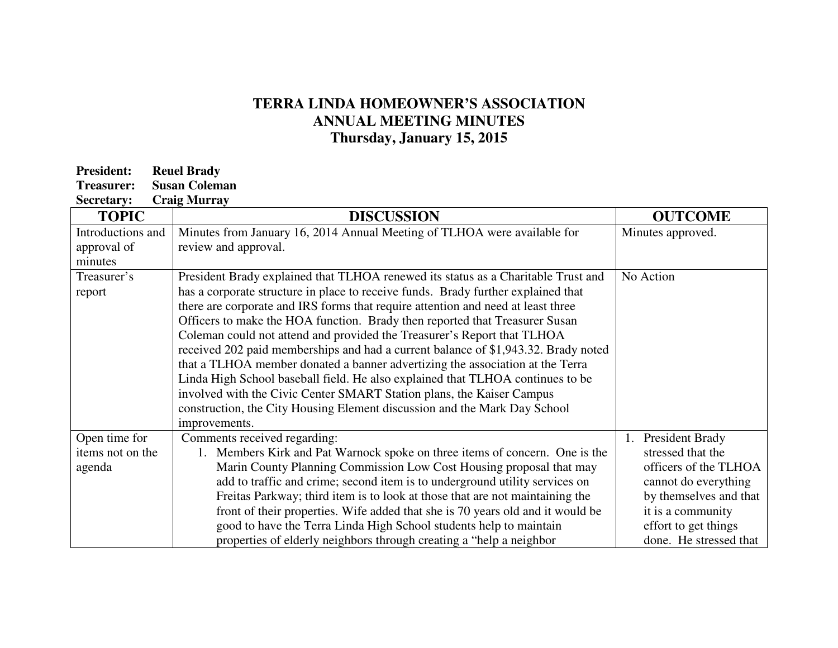## **TERRA LINDA HOMEOWNER'S ASSOCIATION ANNUAL MEETING MINUTES Thursday, January 15, 2015**

| <b>President:</b> | <b>Reuel Brady</b>   |  |
|-------------------|----------------------|--|
| Treasurer:        | <b>Susan Coleman</b> |  |
|                   |                      |  |

| <b>Secretary:</b> | <b>Craig Murray</b> |
|-------------------|---------------------|
|                   |                     |

| <b>TOPIC</b>      | <b>DISCUSSION</b>                                                                  | <b>OUTCOME</b>         |
|-------------------|------------------------------------------------------------------------------------|------------------------|
| Introductions and | Minutes from January 16, 2014 Annual Meeting of TLHOA were available for           | Minutes approved.      |
| approval of       | review and approval.                                                               |                        |
| minutes           |                                                                                    |                        |
| Treasurer's       | President Brady explained that TLHOA renewed its status as a Charitable Trust and  | No Action              |
| report            | has a corporate structure in place to receive funds. Brady further explained that  |                        |
|                   | there are corporate and IRS forms that require attention and need at least three   |                        |
|                   | Officers to make the HOA function. Brady then reported that Treasurer Susan        |                        |
|                   | Coleman could not attend and provided the Treasurer's Report that TLHOA            |                        |
|                   | received 202 paid memberships and had a current balance of \$1,943.32. Brady noted |                        |
|                   | that a TLHOA member donated a banner advertizing the association at the Terra      |                        |
|                   | Linda High School baseball field. He also explained that TLHOA continues to be     |                        |
|                   | involved with the Civic Center SMART Station plans, the Kaiser Campus              |                        |
|                   | construction, the City Housing Element discussion and the Mark Day School          |                        |
|                   | improvements.                                                                      |                        |
| Open time for     | Comments received regarding:                                                       | President Brady<br>1.  |
| items not on the  | 1. Members Kirk and Pat Warnock spoke on three items of concern. One is the        | stressed that the      |
| agenda            | Marin County Planning Commission Low Cost Housing proposal that may                | officers of the TLHOA  |
|                   | add to traffic and crime; second item is to underground utility services on        | cannot do everything   |
|                   | Freitas Parkway; third item is to look at those that are not maintaining the       | by themselves and that |
|                   | front of their properties. Wife added that she is 70 years old and it would be     | it is a community      |
|                   | good to have the Terra Linda High School students help to maintain                 | effort to get things   |
|                   | properties of elderly neighbors through creating a "help a neighbor"               | done. He stressed that |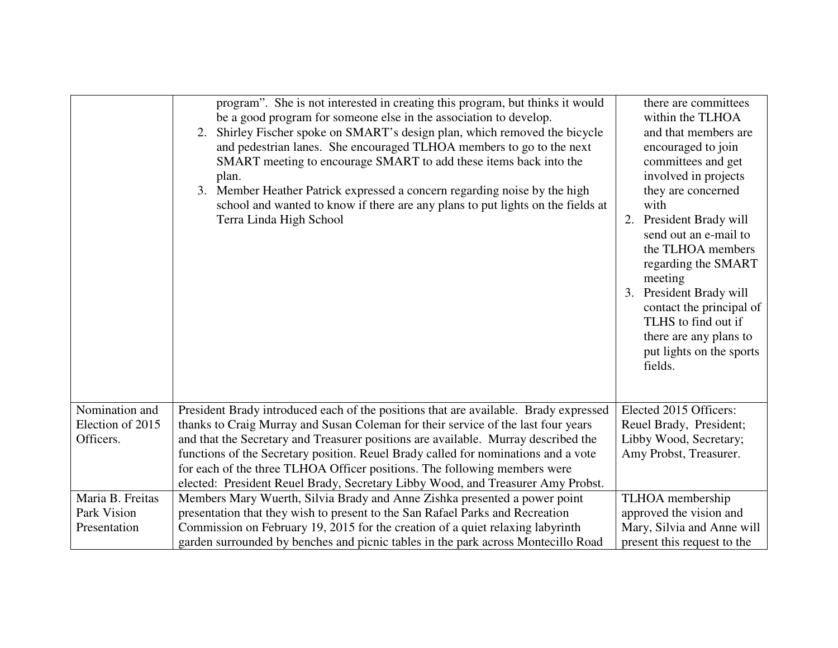|                  | program". She is not interested in creating this program, but thinks it would<br>be a good program for someone else in the association to develop.<br>2. Shirley Fischer spoke on SMART's design plan, which removed the bicycle<br>and pedestrian lanes. She encouraged TLHOA members to go to the next<br>SMART meeting to encourage SMART to add these items back into the<br>plan.<br>3. Member Heather Patrick expressed a concern regarding noise by the high<br>school and wanted to know if there are any plans to put lights on the fields at<br>Terra Linda High School | there are committees<br>within the TLHOA<br>and that members are<br>encouraged to join<br>committees and get<br>involved in projects<br>they are concerned<br>with<br>2. President Brady will<br>send out an e-mail to<br>the TLHOA members<br>regarding the SMART<br>meeting<br>3. President Brady will<br>contact the principal of<br>TLHS to find out if<br>there are any plans to<br>put lights on the sports<br>fields. |
|------------------|-----------------------------------------------------------------------------------------------------------------------------------------------------------------------------------------------------------------------------------------------------------------------------------------------------------------------------------------------------------------------------------------------------------------------------------------------------------------------------------------------------------------------------------------------------------------------------------|------------------------------------------------------------------------------------------------------------------------------------------------------------------------------------------------------------------------------------------------------------------------------------------------------------------------------------------------------------------------------------------------------------------------------|
| Nomination and   | President Brady introduced each of the positions that are available. Brady expressed                                                                                                                                                                                                                                                                                                                                                                                                                                                                                              | Elected 2015 Officers:                                                                                                                                                                                                                                                                                                                                                                                                       |
| Election of 2015 | thanks to Craig Murray and Susan Coleman for their service of the last four years                                                                                                                                                                                                                                                                                                                                                                                                                                                                                                 | Reuel Brady, President;                                                                                                                                                                                                                                                                                                                                                                                                      |
| Officers.        | and that the Secretary and Treasurer positions are available. Murray described the                                                                                                                                                                                                                                                                                                                                                                                                                                                                                                | Libby Wood, Secretary;                                                                                                                                                                                                                                                                                                                                                                                                       |
|                  | functions of the Secretary position. Reuel Brady called for nominations and a vote                                                                                                                                                                                                                                                                                                                                                                                                                                                                                                | Amy Probst, Treasurer.                                                                                                                                                                                                                                                                                                                                                                                                       |
|                  | for each of the three TLHOA Officer positions. The following members were                                                                                                                                                                                                                                                                                                                                                                                                                                                                                                         |                                                                                                                                                                                                                                                                                                                                                                                                                              |
|                  | elected: President Reuel Brady, Secretary Libby Wood, and Treasurer Amy Probst.                                                                                                                                                                                                                                                                                                                                                                                                                                                                                                   |                                                                                                                                                                                                                                                                                                                                                                                                                              |
| Maria B. Freitas | Members Mary Wuerth, Silvia Brady and Anne Zishka presented a power point                                                                                                                                                                                                                                                                                                                                                                                                                                                                                                         | TLHOA membership                                                                                                                                                                                                                                                                                                                                                                                                             |
| Park Vision      | presentation that they wish to present to the San Rafael Parks and Recreation                                                                                                                                                                                                                                                                                                                                                                                                                                                                                                     | approved the vision and                                                                                                                                                                                                                                                                                                                                                                                                      |
| Presentation     | Commission on February 19, 2015 for the creation of a quiet relaxing labyrinth                                                                                                                                                                                                                                                                                                                                                                                                                                                                                                    | Mary, Silvia and Anne will                                                                                                                                                                                                                                                                                                                                                                                                   |
|                  | garden surrounded by benches and picnic tables in the park across Montecillo Road                                                                                                                                                                                                                                                                                                                                                                                                                                                                                                 | present this request to the                                                                                                                                                                                                                                                                                                                                                                                                  |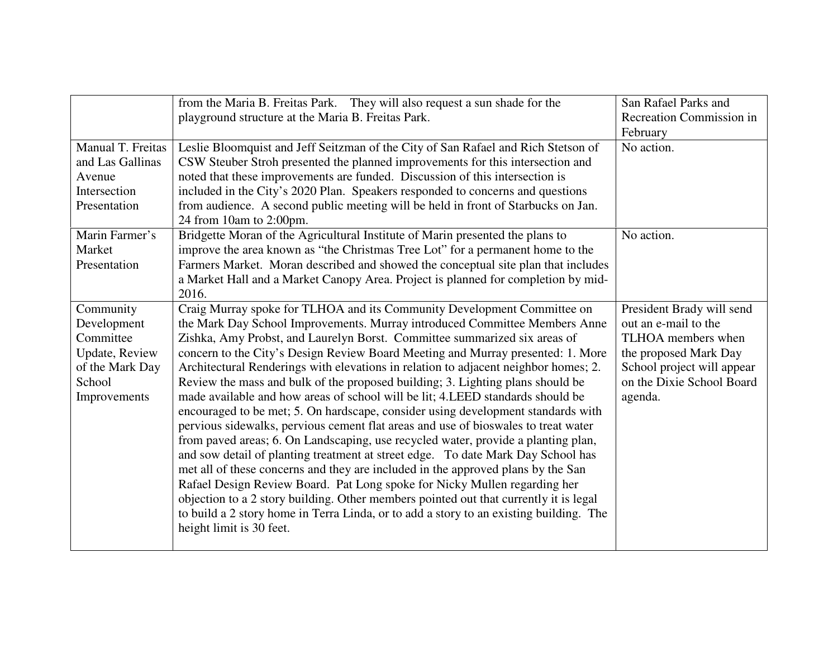|                                                                                                      | from the Maria B. Freitas Park. They will also request a sun shade for the<br>playground structure at the Maria B. Freitas Park.                                                                                                                                                                                                                                                                                                                                                                                                                                                                                                                                                                                                                                                                                                                                                                                                                                                                                                                                                                                                                                                                                                                                                                                     | San Rafael Parks and<br><b>Recreation Commission in</b><br>February                                                                                                    |
|------------------------------------------------------------------------------------------------------|----------------------------------------------------------------------------------------------------------------------------------------------------------------------------------------------------------------------------------------------------------------------------------------------------------------------------------------------------------------------------------------------------------------------------------------------------------------------------------------------------------------------------------------------------------------------------------------------------------------------------------------------------------------------------------------------------------------------------------------------------------------------------------------------------------------------------------------------------------------------------------------------------------------------------------------------------------------------------------------------------------------------------------------------------------------------------------------------------------------------------------------------------------------------------------------------------------------------------------------------------------------------------------------------------------------------|------------------------------------------------------------------------------------------------------------------------------------------------------------------------|
| Manual T. Freitas<br>and Las Gallinas<br>Avenue<br>Intersection<br>Presentation                      | Leslie Bloomquist and Jeff Seitzman of the City of San Rafael and Rich Stetson of<br>CSW Steuber Stroh presented the planned improvements for this intersection and<br>noted that these improvements are funded. Discussion of this intersection is<br>included in the City's 2020 Plan. Speakers responded to concerns and questions<br>from audience. A second public meeting will be held in front of Starbucks on Jan.<br>24 from 10am to 2:00pm.                                                                                                                                                                                                                                                                                                                                                                                                                                                                                                                                                                                                                                                                                                                                                                                                                                                                | No action.                                                                                                                                                             |
| Marin Farmer's<br>Market<br>Presentation                                                             | Bridgette Moran of the Agricultural Institute of Marin presented the plans to<br>improve the area known as "the Christmas Tree Lot" for a permanent home to the<br>Farmers Market. Moran described and showed the conceptual site plan that includes<br>a Market Hall and a Market Canopy Area. Project is planned for completion by mid-<br>2016.                                                                                                                                                                                                                                                                                                                                                                                                                                                                                                                                                                                                                                                                                                                                                                                                                                                                                                                                                                   | No action.                                                                                                                                                             |
| Community<br>Development<br>Committee<br>Update, Review<br>of the Mark Day<br>School<br>Improvements | Craig Murray spoke for TLHOA and its Community Development Committee on<br>the Mark Day School Improvements. Murray introduced Committee Members Anne<br>Zishka, Amy Probst, and Laurelyn Borst. Committee summarized six areas of<br>concern to the City's Design Review Board Meeting and Murray presented: 1. More<br>Architectural Renderings with elevations in relation to adjacent neighbor homes; 2.<br>Review the mass and bulk of the proposed building; 3. Lighting plans should be<br>made available and how areas of school will be lit; 4. LEED standards should be<br>encouraged to be met; 5. On hardscape, consider using development standards with<br>pervious sidewalks, pervious cement flat areas and use of bioswales to treat water<br>from paved areas; 6. On Landscaping, use recycled water, provide a planting plan,<br>and sow detail of planting treatment at street edge. To date Mark Day School has<br>met all of these concerns and they are included in the approved plans by the San<br>Rafael Design Review Board. Pat Long spoke for Nicky Mullen regarding her<br>objection to a 2 story building. Other members pointed out that currently it is legal<br>to build a 2 story home in Terra Linda, or to add a story to an existing building. The<br>height limit is 30 feet. | President Brady will send<br>out an e-mail to the<br>TLHOA members when<br>the proposed Mark Day<br>School project will appear<br>on the Dixie School Board<br>agenda. |